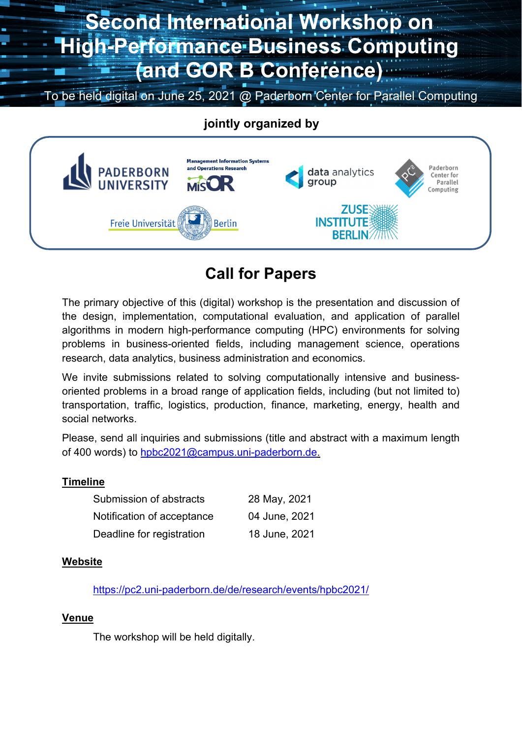# **Second International Workshop on High-Performance Business Computing (and GOR B Conference)**

To be held digital on June 25, 2021 @ Paderborn Center for Parallel Computing

## **jointly organized by**



# **Call for Papers**

The primary objective of this (digital) workshop is the presentation and discussion of the design, implementation, computational evaluation, and application of parallel algorithms in modern high-performance computing (HPC) environments for solving problems in business-oriented fields, including management science, operations research, data analytics, business administration and economics.

We invite submissions related to solving computationally intensive and businessoriented problems in a broad range of application fields, including (but not limited to) transportation, traffic, logistics, production, finance, marketing, energy, health and social networks.

Please, send all inquiries and submissions (title and abstract with a maximum length of 400 words) to hpbc2021@campus.uni-paderborn.de.

#### **Timeline**

| Submission of abstracts    | 28 May, 2021  |
|----------------------------|---------------|
| Notification of acceptance | 04 June, 2021 |
| Deadline for registration  | 18 June, 2021 |

#### **Website**

https://pc2.uni-paderborn.de/de/research/events/hpbc2021/

#### **Venue**

The workshop will be held digitally.